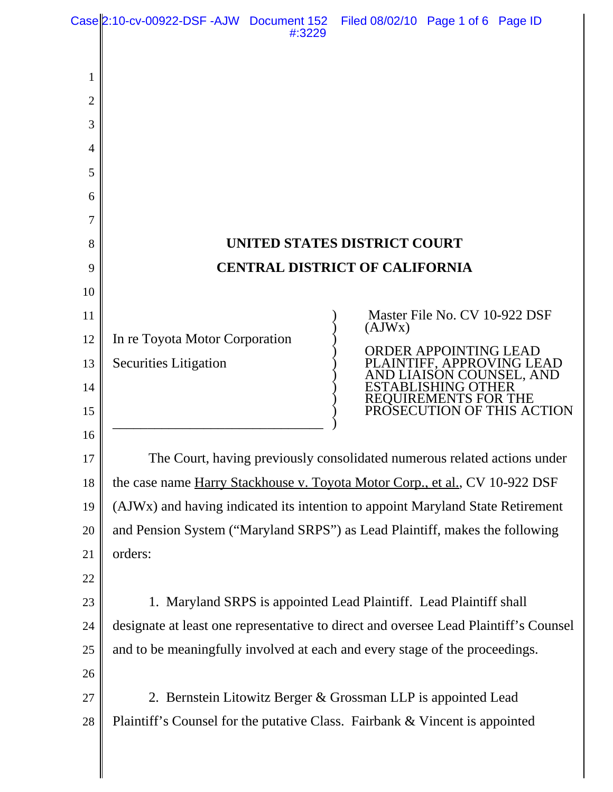|                | Case 2:10-cv-00922-DSF-AJW Document 152                                                                                                                             | #:3229                                | Filed 08/02/10 Page 1 of 6 Page ID |                                                         |                            |
|----------------|---------------------------------------------------------------------------------------------------------------------------------------------------------------------|---------------------------------------|------------------------------------|---------------------------------------------------------|----------------------------|
|                |                                                                                                                                                                     |                                       |                                    |                                                         |                            |
| 1              |                                                                                                                                                                     |                                       |                                    |                                                         |                            |
| $\overline{2}$ |                                                                                                                                                                     |                                       |                                    |                                                         |                            |
| 3              |                                                                                                                                                                     |                                       |                                    |                                                         |                            |
| 4              |                                                                                                                                                                     |                                       |                                    |                                                         |                            |
| 5              |                                                                                                                                                                     |                                       |                                    |                                                         |                            |
| 6              |                                                                                                                                                                     |                                       |                                    |                                                         |                            |
| 7              |                                                                                                                                                                     |                                       |                                    |                                                         |                            |
| 8              | UNITED STATES DISTRICT COURT                                                                                                                                        |                                       |                                    |                                                         |                            |
| 9              |                                                                                                                                                                     | <b>CENTRAL DISTRICT OF CALIFORNIA</b> |                                    |                                                         |                            |
| 10             |                                                                                                                                                                     |                                       |                                    |                                                         |                            |
| 11             |                                                                                                                                                                     |                                       | (AJWx)                             | Master File No. CV 10-922 DSF                           |                            |
| 12             | In re Toyota Motor Corporation                                                                                                                                      |                                       |                                    | <b>ORDER APPOINTING LEAD</b>                            |                            |
| 13             | <b>Securities Litigation</b>                                                                                                                                        |                                       |                                    | PLAINTIFF, APPROVING LEAD<br><b>JAISON COUNSEL, AND</b> |                            |
| 14             |                                                                                                                                                                     |                                       | ESTABLI                            | <b>REOUIREMENTS FOR THE</b>                             |                            |
| 15             |                                                                                                                                                                     |                                       |                                    |                                                         | PROSECUTION OF THIS ACTION |
| 16             |                                                                                                                                                                     |                                       |                                    |                                                         |                            |
| 17             | The Court, having previously consolidated numerous related actions under                                                                                            |                                       |                                    |                                                         |                            |
| 18             | the case name Harry Stackhouse v. Toyota Motor Corp., et al., CV 10-922 DSF                                                                                         |                                       |                                    |                                                         |                            |
| 19             | (AJWx) and having indicated its intention to appoint Maryland State Retirement                                                                                      |                                       |                                    |                                                         |                            |
| 20             | and Pension System ("Maryland SRPS") as Lead Plaintiff, makes the following                                                                                         |                                       |                                    |                                                         |                            |
| 21             | orders:                                                                                                                                                             |                                       |                                    |                                                         |                            |
| 22             |                                                                                                                                                                     |                                       |                                    |                                                         |                            |
| 23             | 1. Maryland SRPS is appointed Lead Plaintiff. Lead Plaintiff shall                                                                                                  |                                       |                                    |                                                         |                            |
| 24             | designate at least one representative to direct and oversee Lead Plaintiff's Counsel<br>and to be meaningfully involved at each and every stage of the proceedings. |                                       |                                    |                                                         |                            |
| 25             |                                                                                                                                                                     |                                       |                                    |                                                         |                            |
| 26             |                                                                                                                                                                     |                                       |                                    |                                                         |                            |
| 27             | 2. Bernstein Litowitz Berger & Grossman LLP is appointed Lead<br>Plaintiff's Counsel for the putative Class. Fairbank & Vincent is appointed                        |                                       |                                    |                                                         |                            |
| 28             |                                                                                                                                                                     |                                       |                                    |                                                         |                            |
|                |                                                                                                                                                                     |                                       |                                    |                                                         |                            |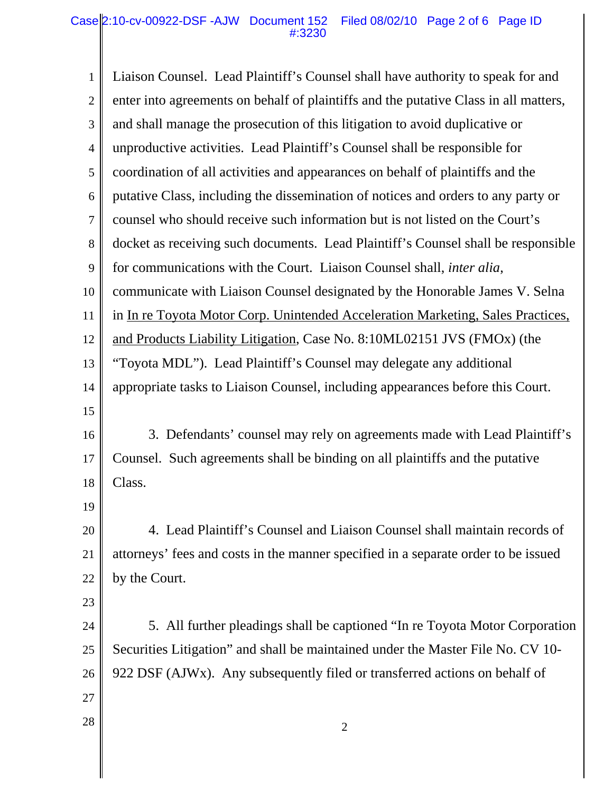| $\mathbf{1}$   | Liaison Counsel. Lead Plaintiff's Counsel shall have authority to speak for and      |  |  |  |  |
|----------------|--------------------------------------------------------------------------------------|--|--|--|--|
| $\overline{2}$ | enter into agreements on behalf of plaintiffs and the putative Class in all matters, |  |  |  |  |
| 3              | and shall manage the prosecution of this litigation to avoid duplicative or          |  |  |  |  |
| $\overline{4}$ | unproductive activities. Lead Plaintiff's Counsel shall be responsible for           |  |  |  |  |
| 5              | coordination of all activities and appearances on behalf of plaintiffs and the       |  |  |  |  |
| 6              | putative Class, including the dissemination of notices and orders to any party or    |  |  |  |  |
| $\tau$         | counsel who should receive such information but is not listed on the Court's         |  |  |  |  |
| 8              | docket as receiving such documents. Lead Plaintiff's Counsel shall be responsible    |  |  |  |  |
| 9              | for communications with the Court. Liaison Counsel shall, <i>inter alia</i> ,        |  |  |  |  |
| 10             | communicate with Liaison Counsel designated by the Honorable James V. Selna          |  |  |  |  |
| 11             | in In re Toyota Motor Corp. Unintended Acceleration Marketing, Sales Practices,      |  |  |  |  |
| 12             | and Products Liability Litigation, Case No. 8:10ML02151 JVS (FMOx) (the              |  |  |  |  |
| 13             | "Toyota MDL"). Lead Plaintiff's Counsel may delegate any additional                  |  |  |  |  |
| 14             | appropriate tasks to Liaison Counsel, including appearances before this Court.       |  |  |  |  |
| 15             |                                                                                      |  |  |  |  |
| 16             | 3. Defendants' counsel may rely on agreements made with Lead Plaintiff's             |  |  |  |  |
| 17             | Counsel. Such agreements shall be binding on all plaintiffs and the putative         |  |  |  |  |
| 18             | Class.                                                                               |  |  |  |  |
| 19             |                                                                                      |  |  |  |  |
| 20             | 4. Lead Plaintiff's Counsel and Liaison Counsel shall maintain records of            |  |  |  |  |
| 21             | attorneys' fees and costs in the manner specified in a separate order to be issued   |  |  |  |  |
| 22             | by the Court.                                                                        |  |  |  |  |
| 23             |                                                                                      |  |  |  |  |
| 24             | 5. All further pleadings shall be captioned "In re Toyota Motor Corporation"         |  |  |  |  |
| 25             | Securities Litigation" and shall be maintained under the Master File No. CV 10-      |  |  |  |  |
| 26             | 922 DSF (AJWx). Any subsequently filed or transferred actions on behalf of           |  |  |  |  |
| 27             |                                                                                      |  |  |  |  |
| 28             | 2                                                                                    |  |  |  |  |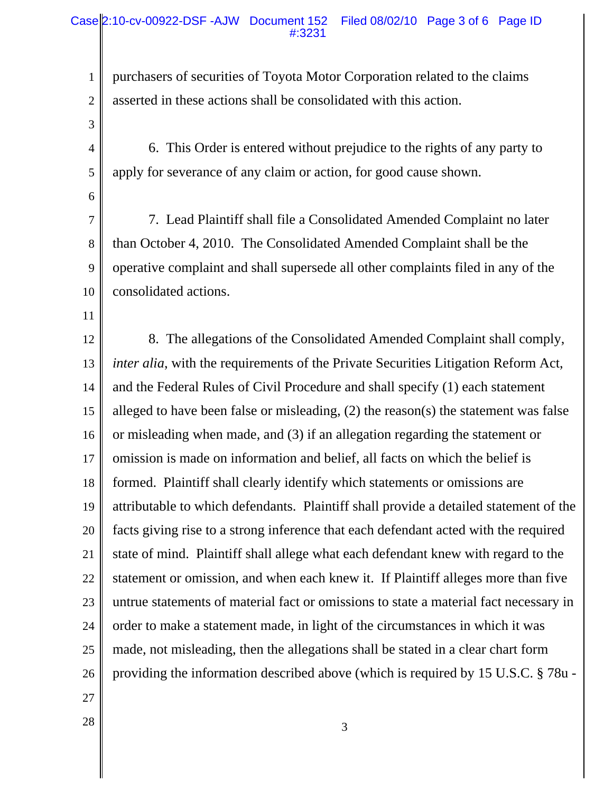## Case 2:10-cv-00922-DSF-AJW Document 152 Filed 08/02/10 Page 3 of 6 Page ID #:3231

purchasers of securities of Toyota Motor Corporation related to the claims asserted in these actions shall be consolidated with this action.

3 4

1

2

6. This Order is entered without prejudice to the rights of any party to apply for severance of any claim or action, for good cause shown.

6

7

8

9

10

11

5

7. Lead Plaintiff shall file a Consolidated Amended Complaint no later than October 4, 2010. The Consolidated Amended Complaint shall be the operative complaint and shall supersede all other complaints filed in any of the consolidated actions.

12 13 14 15 16 17 18 19 20 21 22 23 24 25 26 8. The allegations of the Consolidated Amended Complaint shall comply, *inter alia*, with the requirements of the Private Securities Litigation Reform Act, and the Federal Rules of Civil Procedure and shall specify (1) each statement alleged to have been false or misleading, (2) the reason(s) the statement was false or misleading when made, and (3) if an allegation regarding the statement or omission is made on information and belief, all facts on which the belief is formed. Plaintiff shall clearly identify which statements or omissions are attributable to which defendants. Plaintiff shall provide a detailed statement of the facts giving rise to a strong inference that each defendant acted with the required state of mind. Plaintiff shall allege what each defendant knew with regard to the statement or omission, and when each knew it. If Plaintiff alleges more than five untrue statements of material fact or omissions to state a material fact necessary in order to make a statement made, in light of the circumstances in which it was made, not misleading, then the allegations shall be stated in a clear chart form providing the information described above (which is required by 15 U.S.C. § 78u -

- 27
- $\begin{array}{|c|c|c|c|c|}\n \hline\n 28 & 3 \\
\hline\n \end{array}$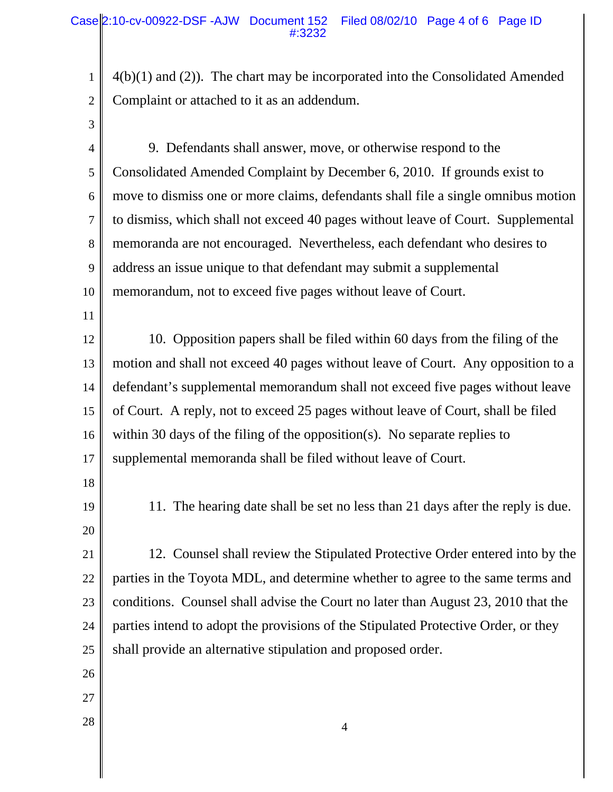4(b)(1) and (2)). The chart may be incorporated into the Consolidated Amended Complaint or attached to it as an addendum.

3

4

5

6

7

1

2

8 9 10 9. Defendants shall answer, move, or otherwise respond to the Consolidated Amended Complaint by December 6, 2010. If grounds exist to move to dismiss one or more claims, defendants shall file a single omnibus motion to dismiss, which shall not exceed 40 pages without leave of Court. Supplemental memoranda are not encouraged. Nevertheless, each defendant who desires to address an issue unique to that defendant may submit a supplemental memorandum, not to exceed five pages without leave of Court.

11

12 13 14 15 16 17 10. Opposition papers shall be filed within 60 days from the filing of the motion and shall not exceed 40 pages without leave of Court. Any opposition to a defendant's supplemental memorandum shall not exceed five pages without leave of Court. A reply, not to exceed 25 pages without leave of Court, shall be filed within 30 days of the filing of the opposition(s). No separate replies to supplemental memoranda shall be filed without leave of Court.

- 18
- 19

20

11. The hearing date shall be set no less than 21 days after the reply is due.

21 22 23 24 25 12. Counsel shall review the Stipulated Protective Order entered into by the parties in the Toyota MDL, and determine whether to agree to the same terms and conditions. Counsel shall advise the Court no later than August 23, 2010 that the parties intend to adopt the provisions of the Stipulated Protective Order, or they shall provide an alternative stipulation and proposed order.

- 26
- 27
-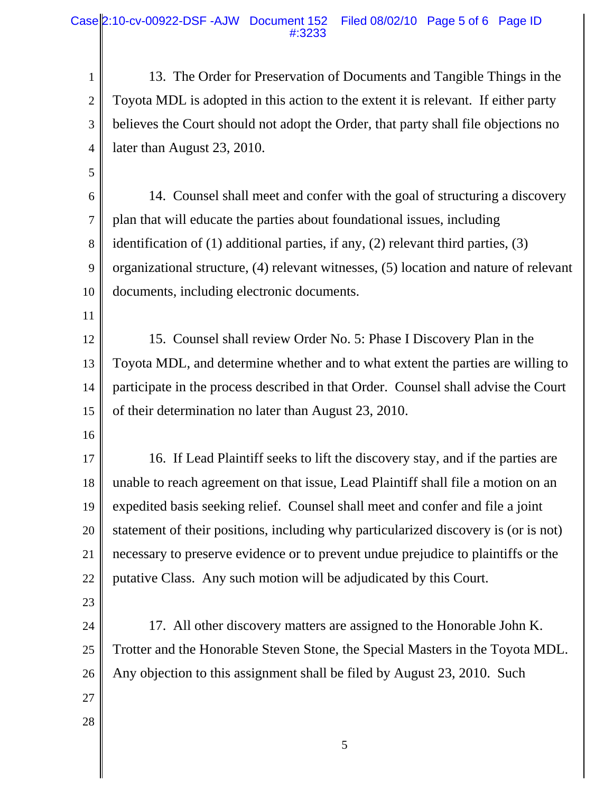Case 2:10-cv-00922-DSF -AJW Document 152 Filed 08/02/10 Page 5 of 6 Page ID #:3233

13. The Order for Preservation of Documents and Tangible Things in the Toyota MDL is adopted in this action to the extent it is relevant. If either party believes the Court should not adopt the Order, that party shall file objections no later than August 23, 2010.

5

4

1

2

3

6 7 8 9 10 14. Counsel shall meet and confer with the goal of structuring a discovery plan that will educate the parties about foundational issues, including identification of (1) additional parties, if any, (2) relevant third parties, (3) organizational structure, (4) relevant witnesses, (5) location and nature of relevant documents, including electronic documents.

12 13 14 15 15. Counsel shall review Order No. 5: Phase I Discovery Plan in the Toyota MDL, and determine whether and to what extent the parties are willing to participate in the process described in that Order. Counsel shall advise the Court of their determination no later than August 23, 2010.

16

11

17 18 19 20 21 22 16. If Lead Plaintiff seeks to lift the discovery stay, and if the parties are unable to reach agreement on that issue, Lead Plaintiff shall file a motion on an expedited basis seeking relief. Counsel shall meet and confer and file a joint statement of their positions, including why particularized discovery is (or is not) necessary to preserve evidence or to prevent undue prejudice to plaintiffs or the putative Class. Any such motion will be adjudicated by this Court.

- 23
- 24 25

17. All other discovery matters are assigned to the Honorable John K. Trotter and the Honorable Steven Stone, the Special Masters in the Toyota MDL. Any objection to this assignment shall be filed by August 23, 2010. Such

27 28

26